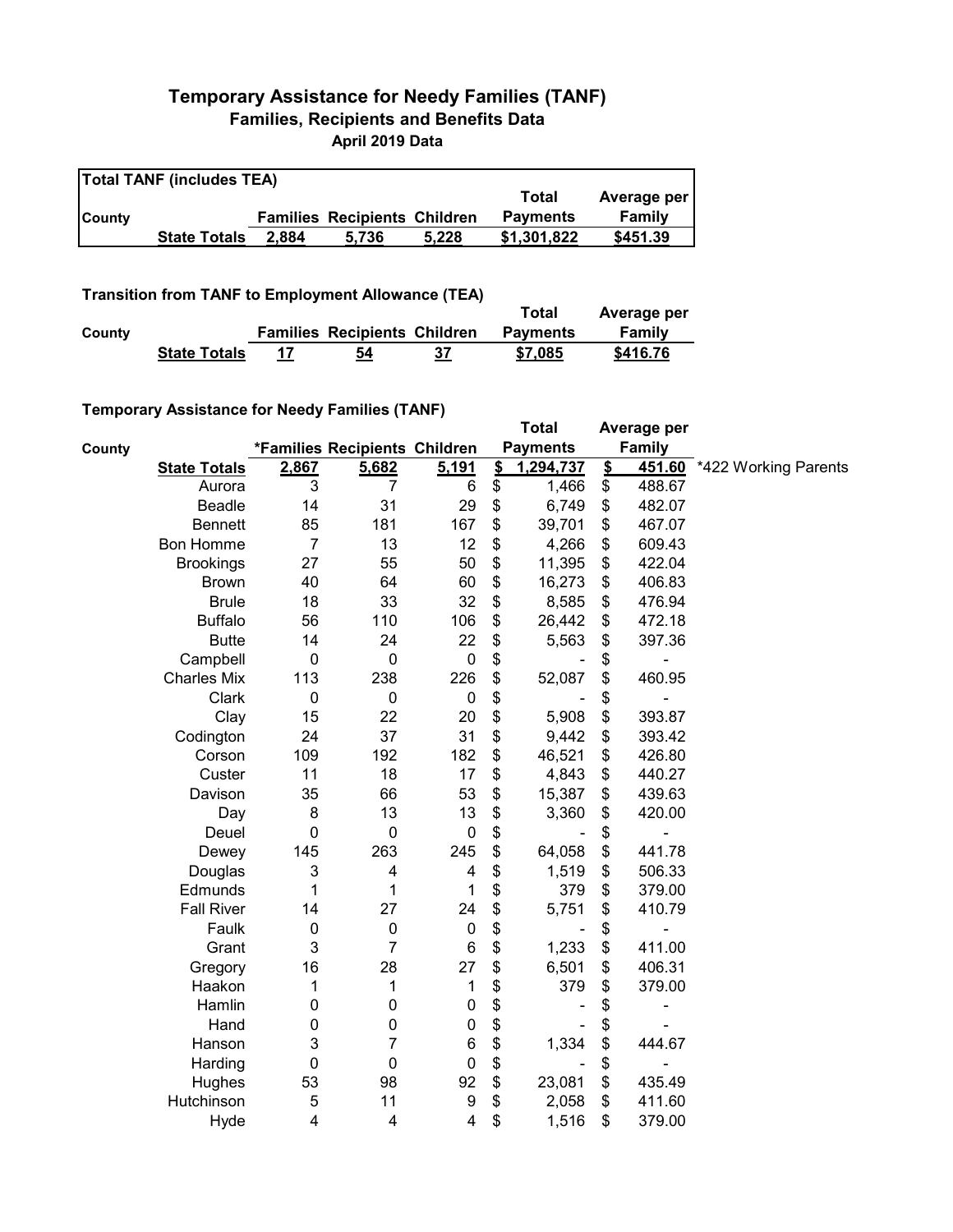## **Temporary Assistance for Needy Families (TANF) Families, Recipients and Benefits Data April 2019 Data**

| <b>Total TANF (includes TEA)</b> |                     |       |                                     |       |                 |             |  |  |
|----------------------------------|---------------------|-------|-------------------------------------|-------|-----------------|-------------|--|--|
|                                  |                     |       |                                     |       | Total           | Average per |  |  |
| <b>County</b>                    |                     |       | <b>Families Recipients Children</b> |       | <b>Payments</b> | Family      |  |  |
|                                  | <b>State Totals</b> | 2.884 | 5.736                               | 5.228 | \$1,301,822     | \$451.39    |  |  |

**Transition from TANF to Employment Allowance (TEA)**

|        | <b>ITAIISIUVII IIVIII TANT LO EIIIPIOVIIIEIIL AIIUWAIICE (TEA)</b> | Total | Average per                         |    |                 |          |
|--------|--------------------------------------------------------------------|-------|-------------------------------------|----|-----------------|----------|
| County |                                                                    |       | <b>Families Recipients Children</b> |    | <b>Payments</b> | Family   |
|        | <b>State Totals</b>                                                | 17    | 54                                  | 37 | \$7,085         | \$416.76 |

## **Temporary Assistance for Needy Families (TANF)**

|               | $1$ chiporary Assistance for Needy Families (TANT) |                         |                               |                  |               | <b>Total</b>    |               | Average per    |                             |
|---------------|----------------------------------------------------|-------------------------|-------------------------------|------------------|---------------|-----------------|---------------|----------------|-----------------------------|
| <b>County</b> |                                                    |                         | *Families Recipients Children |                  |               | <b>Payments</b> |               | Family         |                             |
|               | <b>State Totals</b>                                | 2,867                   | 5,682                         | 5,191            | $\frac{2}{3}$ | 1,294,737       | $\frac{2}{3}$ |                | 451.60 *422 Working Parents |
|               | Aurora                                             | 3                       | 7                             | $\,6$            | \$            | 1,466           | \$            | 488.67         |                             |
|               | Beadle                                             | 14                      | 31                            | 29               | \$            | 6,749           | \$            | 482.07         |                             |
|               | <b>Bennett</b>                                     | 85                      | 181                           | 167              | \$            | 39,701          | \$            | 467.07         |                             |
|               | Bon Homme                                          | $\overline{7}$          | 13                            | 12               | \$            | 4,266           | \$            | 609.43         |                             |
|               | <b>Brookings</b>                                   | 27                      | 55                            | 50               | \$            | 11,395          | \$            | 422.04         |                             |
|               | <b>Brown</b>                                       | 40                      | 64                            | 60               | \$            | 16,273          | \$            | 406.83         |                             |
|               | <b>Brule</b>                                       | 18                      | 33                            | 32               | \$            | 8,585           | \$            | 476.94         |                             |
|               | <b>Buffalo</b>                                     | 56                      | 110                           | 106              | \$            | 26,442          | \$            | 472.18         |                             |
|               | <b>Butte</b>                                       | 14                      | 24                            | 22               | \$            | 5,563           | \$            | 397.36         |                             |
|               | Campbell                                           | $\pmb{0}$               | $\pmb{0}$                     | $\pmb{0}$        | \$            |                 | \$            |                |                             |
|               | <b>Charles Mix</b>                                 | 113                     | 238                           | 226              | \$            | 52,087          | \$            | 460.95         |                             |
|               | Clark                                              | $\mathbf 0$             | $\pmb{0}$                     | $\mathbf 0$      | \$            |                 | \$            | ۰              |                             |
|               | Clay                                               | 15                      | 22                            | 20               | \$            | 5,908           | \$            | 393.87         |                             |
|               | Codington                                          | 24                      | 37                            | 31               | \$            | 9,442           | \$            | 393.42         |                             |
|               | Corson                                             | 109                     | 192                           | 182              | \$            | 46,521          | \$            | 426.80         |                             |
|               | Custer                                             | 11                      | 18                            | 17               | \$            | 4,843           | \$            | 440.27         |                             |
|               | Davison                                            | 35                      | 66                            | 53               | \$            | 15,387          | \$            | 439.63         |                             |
|               | Day                                                | 8                       | 13                            | 13               | \$            | 3,360           | \$            | 420.00         |                             |
|               | Deuel                                              | $\mathbf 0$             | $\mathbf 0$                   | $\mathbf 0$      | \$            |                 | \$            |                |                             |
|               | Dewey                                              | 145                     | 263                           | 245              | \$            | 64,058          | \$            | 441.78         |                             |
|               | Douglas                                            | 3                       | 4                             | 4                | \$            | 1,519           | \$            | 506.33         |                             |
|               | Edmunds                                            | 1                       | 1                             | 1                | \$            | 379             | \$            | 379.00         |                             |
|               | <b>Fall River</b>                                  | 14                      | 27                            | 24               | \$            | 5,751           | \$            | 410.79         |                             |
|               | Faulk                                              | 0                       | $\pmb{0}$                     | $\mathbf 0$      | \$            |                 | \$            | $\blacksquare$ |                             |
|               | Grant                                              | 3                       | $\overline{7}$                | $\,6$            | \$            | 1,233           | \$            | 411.00         |                             |
|               | Gregory                                            | 16                      | 28                            | 27               | \$            | 6,501           | \$            | 406.31         |                             |
|               | Haakon                                             | 1                       | 1                             | 1                | \$            | 379             | \$            | 379.00         |                             |
|               | Hamlin                                             | 0                       | 0                             | $\pmb{0}$        | \$            |                 | \$            | ۰              |                             |
|               | Hand                                               | 0                       | 0                             | $\pmb{0}$        | \$            |                 | \$            |                |                             |
|               | Hanson                                             | 3                       | $\overline{7}$                | $6\phantom{1}6$  | \$            | 1,334           | \$            | 444.67         |                             |
|               | Harding                                            | 0                       | $\mathbf 0$                   | $\mathbf 0$      | \$            |                 | \$            | $\blacksquare$ |                             |
|               | Hughes                                             | 53                      | 98                            | 92               | \$            | 23,081          | \$            | 435.49         |                             |
|               | Hutchinson                                         | 5                       | 11                            | $\boldsymbol{9}$ | \$            | 2,058           | \$            | 411.60         |                             |
|               | Hyde                                               | $\overline{\mathbf{4}}$ | 4                             | 4                | \$            | 1,516           | \$            | 379.00         |                             |